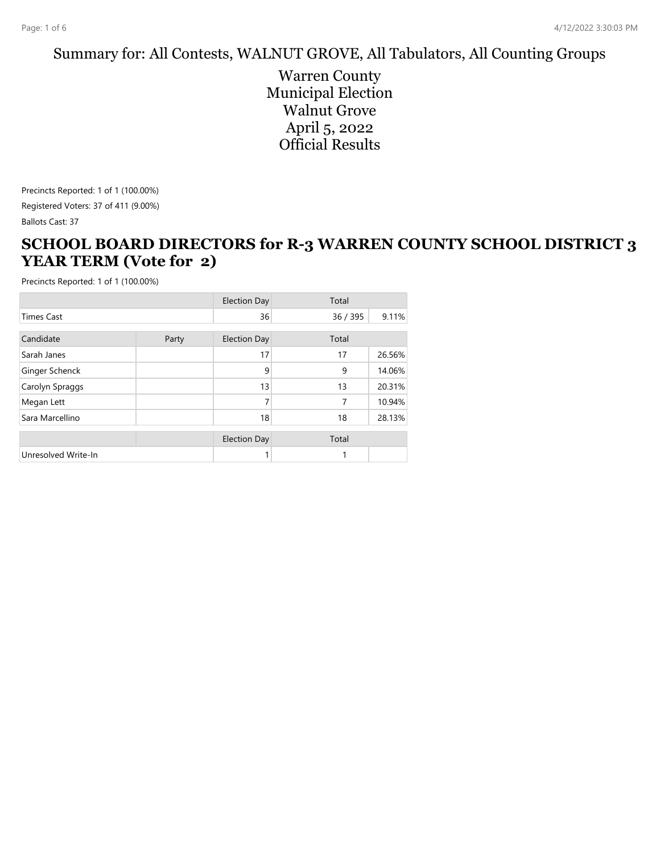#### Summary for: All Contests, WALNUT GROVE, All Tabulators, All Counting Groups

Warren County Municipal Election Walnut Grove April 5, 2022 Official Results

Precincts Reported: 1 of 1 (100.00%) Registered Voters: 37 of 411 (9.00%)

Ballots Cast: 37

#### **SCHOOL BOARD DIRECTORS for R-3 WARREN COUNTY SCHOOL DISTRICT 3 YEAR TERM (Vote for 2)**

|                     |       | <b>Election Day</b> | Total  |        |
|---------------------|-------|---------------------|--------|--------|
| <b>Times Cast</b>   |       | 36                  | 36/395 | 9.11%  |
| Candidate           | Party | <b>Election Day</b> | Total  |        |
| Sarah Janes         |       | 17                  | 17     | 26.56% |
| Ginger Schenck      |       | 9                   | 9      | 14.06% |
| Carolyn Spraggs     |       | 13                  | 13     | 20.31% |
| Megan Lett          |       | 7                   | 7      | 10.94% |
| Sara Marcellino     |       | 18                  | 18     | 28.13% |
|                     |       | <b>Election Day</b> | Total  |        |
| Unresolved Write-In |       |                     | 1      |        |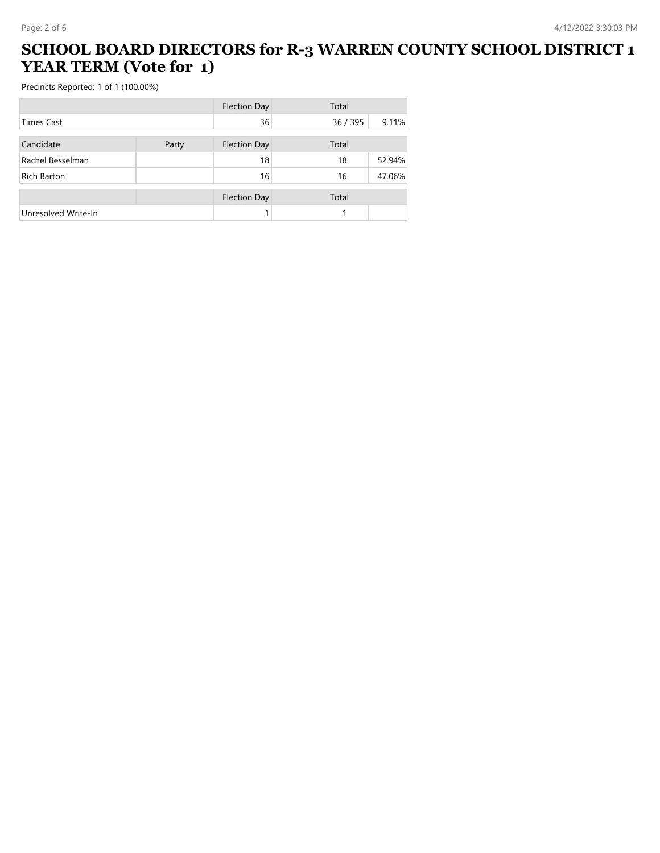### **SCHOOL BOARD DIRECTORS for R-3 WARREN COUNTY SCHOOL DISTRICT 1 YEAR TERM (Vote for 1)**

|                     |       | <b>Election Day</b> | Total    |        |
|---------------------|-------|---------------------|----------|--------|
| Times Cast          |       | 36                  | 36 / 395 | 9.11%  |
| Candidate           | Party | <b>Election Day</b> | Total    |        |
| Rachel Besselman    |       | 18                  | 18       | 52.94% |
| Rich Barton         |       | 16                  | 16       | 47.06% |
|                     |       | <b>Election Day</b> | Total    |        |
| Unresolved Write-In |       |                     |          |        |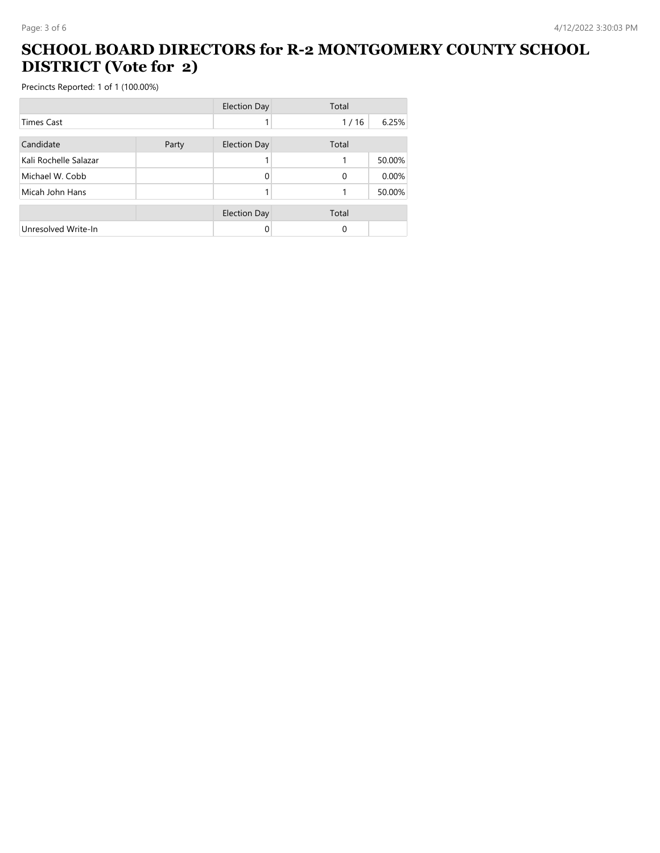### **SCHOOL BOARD DIRECTORS for R-2 MONTGOMERY COUNTY SCHOOL DISTRICT (Vote for 2)**

|                       |       | <b>Election Day</b> | Total    |        |
|-----------------------|-------|---------------------|----------|--------|
| <b>Times Cast</b>     |       |                     | 1/16     | 6.25%  |
| Candidate             | Party | <b>Election Day</b> | Total    |        |
| Kali Rochelle Salazar |       |                     |          | 50.00% |
| Michael W. Cobb       |       |                     | $\Omega$ | 0.00%  |
| Micah John Hans       |       |                     |          | 50.00% |
|                       |       | <b>Election Day</b> | Total    |        |
| Unresolved Write-In   |       |                     | 0        |        |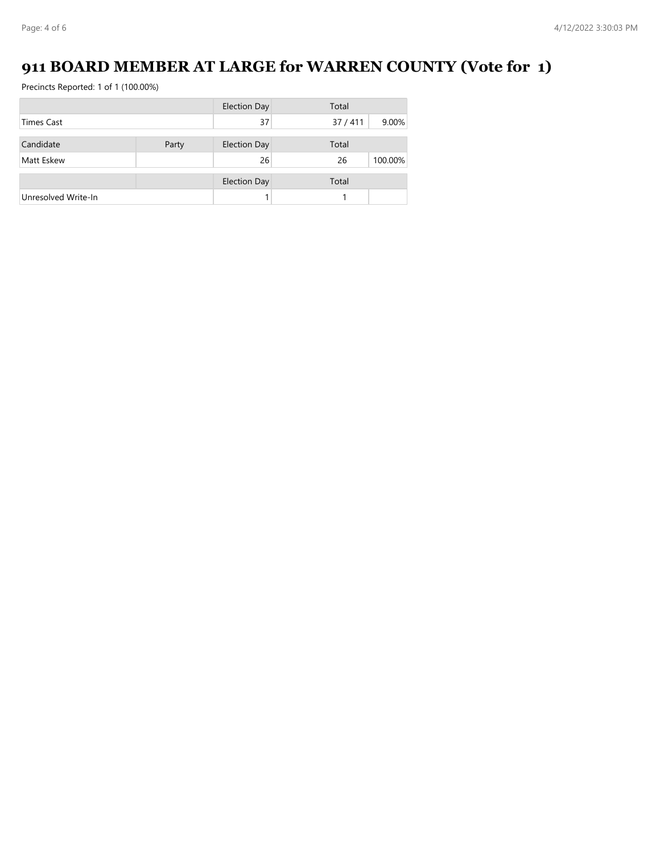# **911 BOARD MEMBER AT LARGE for WARREN COUNTY (Vote for 1)**

|                     |       | <b>Election Day</b> | Total  |         |
|---------------------|-------|---------------------|--------|---------|
| <b>Times Cast</b>   |       | 37                  | 37/411 | 9.00%   |
| Candidate           |       |                     | Total  |         |
|                     | Party | <b>Election Day</b> |        |         |
| Matt Eskew          |       | 26                  | 26     | 100.00% |
|                     |       | <b>Election Day</b> | Total  |         |
| Unresolved Write-In |       |                     |        |         |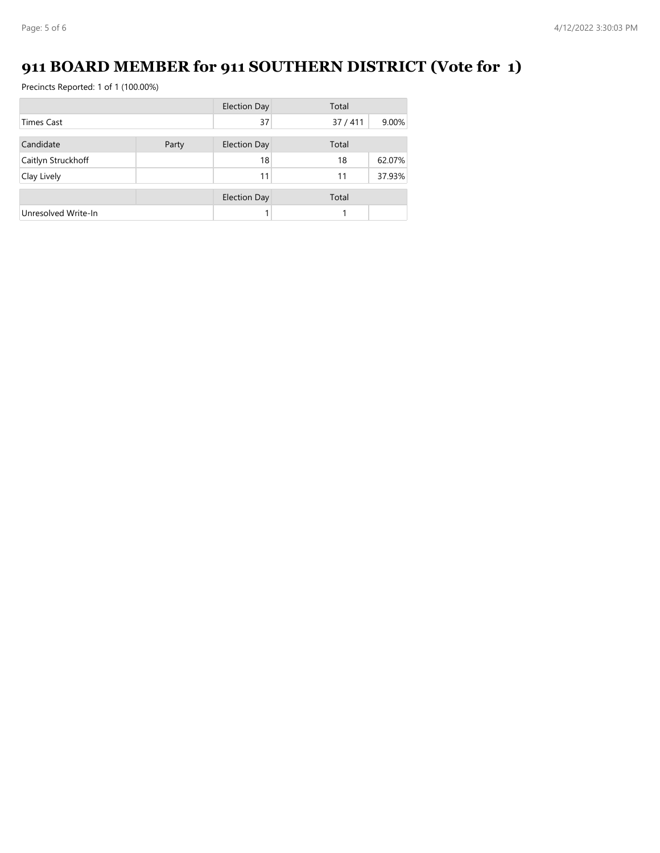# **911 BOARD MEMBER for 911 SOUTHERN DISTRICT (Vote for 1)**

|                     |       | <b>Election Day</b> | Total  |        |
|---------------------|-------|---------------------|--------|--------|
| <b>Times Cast</b>   |       | 37                  | 37/411 | 9.00%  |
| Candidate           | Party | <b>Election Day</b> | Total  |        |
| Caitlyn Struckhoff  |       | 18                  | 18     | 62.07% |
| Clay Lively         |       | 11                  | 11     | 37.93% |
|                     |       | <b>Election Day</b> | Total  |        |
| Unresolved Write-In |       |                     |        |        |